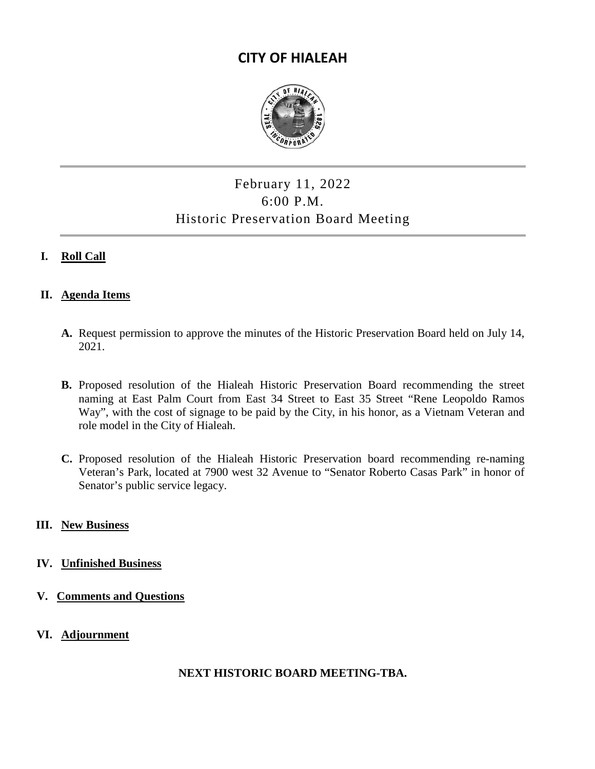# **CITY OF HIALEAH**



# February 11, 2022 6:00 P.M. Historic Preservation Board Meeting

## **I. Roll Call**

#### **II. Agenda Items**

- **A.** Request permission to approve the minutes of the Historic Preservation Board held on July 14, 2021.
- **B.** Proposed resolution of the Hialeah Historic Preservation Board recommending the street naming at East Palm Court from East 34 Street to East 35 Street "Rene Leopoldo Ramos Way", with the cost of signage to be paid by the City, in his honor, as a Vietnam Veteran and role model in the City of Hialeah.
- **C.** Proposed resolution of the Hialeah Historic Preservation board recommending re-naming Veteran's Park, located at 7900 west 32 Avenue to "Senator Roberto Casas Park" in honor of Senator's public service legacy.

#### **III. New Business**

#### **IV. Unfinished Business**

- **V. Comments and Questions**
- **VI. Adjournment**

### **NEXT HISTORIC BOARD MEETING-TBA.**